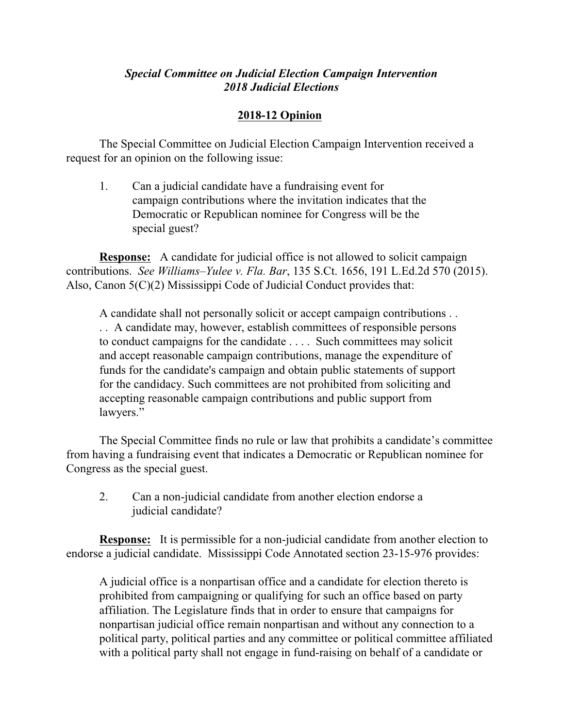## *Special Committee on Judicial Election Campaign Intervention 2018 Judicial Elections*

## **2018-12 Opinion**

The Special Committee on Judicial Election Campaign Intervention received a request for an opinion on the following issue:

1. Can a judicial candidate have a fundraising event for campaign contributions where the invitation indicates that the Democratic or Republican nominee for Congress will be the special guest?

**Response:** A candidate for judicial office is not allowed to solicit campaign contributions. *See Williams–Yulee v. Fla. Bar*, 135 S.Ct. 1656, 191 L.Ed.2d 570 (2015). Also, Canon 5(C)(2) Mississippi Code of Judicial Conduct provides that:

A candidate shall not personally solicit or accept campaign contributions . . . . A candidate may, however, establish committees of responsible persons to conduct campaigns for the candidate . . . . Such committees may solicit and accept reasonable campaign contributions, manage the expenditure of funds for the candidate's campaign and obtain public statements of support for the candidacy. Such committees are not prohibited from soliciting and accepting reasonable campaign contributions and public support from lawyers."

The Special Committee finds no rule or law that prohibits a candidate's committee from having a fundraising event that indicates a Democratic or Republican nominee for Congress as the special guest.

2. Can a non-judicial candidate from another election endorse a judicial candidate?

**Response:** It is permissible for a non-judicial candidate from another election to endorse a judicial candidate. Mississippi Code Annotated section 23-15-976 provides:

A judicial office is a nonpartisan office and a candidate for election thereto is prohibited from campaigning or qualifying for such an office based on party affiliation. The Legislature finds that in order to ensure that campaigns for nonpartisan judicial office remain nonpartisan and without any connection to a political party, political parties and any committee or political committee affiliated with a political party shall not engage in fund-raising on behalf of a candidate or